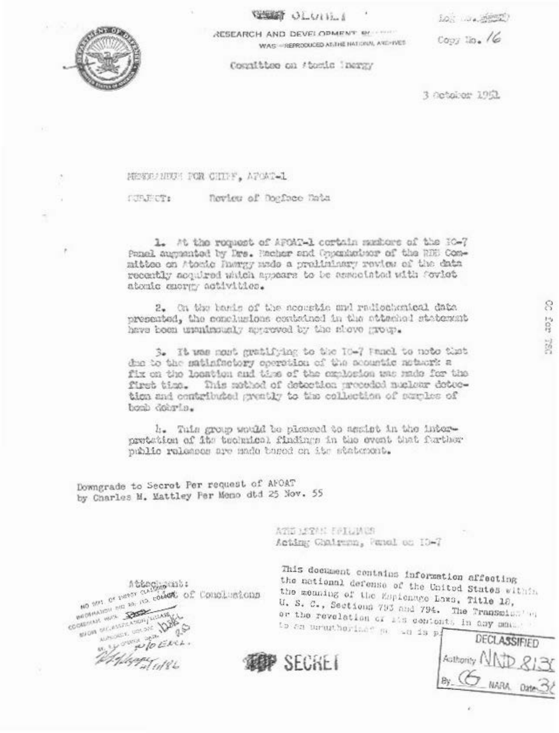$10.7 - 34.8882$ 



**WEEK OLUILA** 

 $\cos x$  is.  $/6$ 

RESEARCH AND DEVELOPMENT BY THE WAS -REPRODUCED AT THE NATIONAL AND IVES

Cognittee on #temis Inergy

3 Actober 1961

MENDENHAN FOR CHIPF. APOAT-L

1TO TUTT

Novicu of Dogface Data

1. At the request of AFOAT-1 cortain maskers of the KC-7 Panel augustial by Drs. Racher and Oppenbatoor of the RDS Committee on Atomic Dawngy ando a proliningry rewiew of the data recently acquired which appears to be associated with forlet abomic exery activities.

2. On the banis of the acoustic and radiochemical date. prepented, the conclusions contained in the attached statement have been unuitmously approved by the showe group.

3. It was nout gratifying to the TO-7 Fanel to note that due to the matinfactory operation of the acoustic methor's a fix on the location and time of the exclosion was made for the first time. This mothed of detection proceded musleur detection and contributed greatly to the collection of surples of book dobrin.

h. This group would be pleased to assist in the interprotetion of its technical findings in the event that further public releases are unde taged on it statement.

Downgrade to Secret Per request of AFOAT by Charles M. Mattley Per Meno dtd 25 Nov. 55

> ATE USAN FRIUMEN Acting Chairma, Panal on 19-7

A banging cases and the content of MO MAT OF PIDEOT CLASSICAL OF CONOLUGIONS COGREGAN WITH SPER SHOW OUT A STATE A SONY SULASSING

DE REAL

This document contains information affecting the national defense of the United States within the meaning of the Espiences Lazs. Title 18, U. S. C., Sections 793 and 794. The Transmiss' wi or the revelation or 11s contents in day man. to an unumberings at au is pf

SECRET

**DECLASSIFIED** Authority NATO 813  $By$ ,  $C$  NARA,  $0x-36$ 

8

For

一边